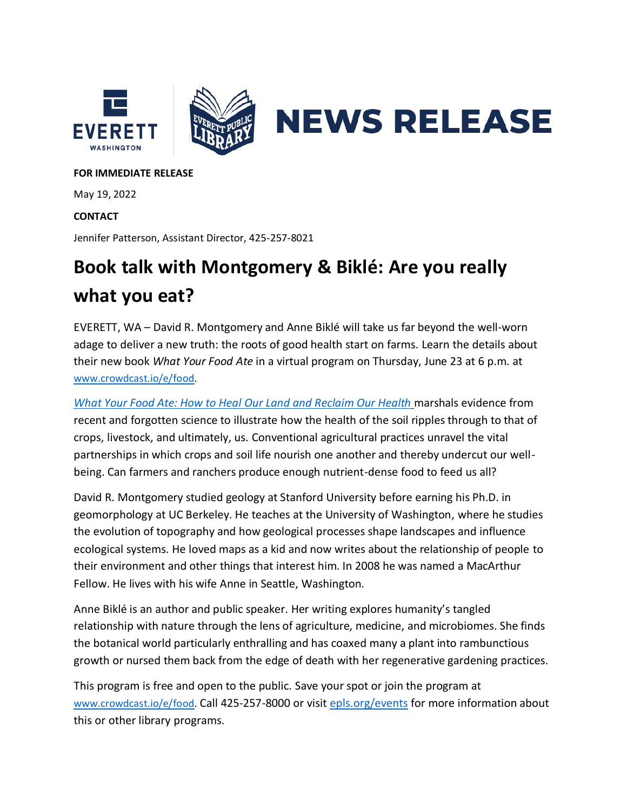

## **FOR IMMEDIATE RELEASE**

May 19, 2022

## **CONTACT**

Jennifer Patterson, Assistant Director, 425-257-8021

## **Book talk with Montgomery & Biklé: Are you really what you eat?**

EVERETT, WA – David R. Montgomery and Anne Biklé will take us far beyond the well-worn adage to deliver a new truth: the roots of good health start on farms. Learn the details about their new book *What Your Food Ate* in a virtual program on Thursday, June 23 at 6 p.m. at [www.crowdcast.io/e/food.](https://www.crowdcast.io/e/food)

*What Your Food Ate: [How to Heal Our Land and Reclaim Our Health](https://wwnorton.com/books/9781324004530)* marshals evidence from recent and forgotten science to illustrate how the health of the soil ripples through to that of crops, livestock, and ultimately, us. Conventional agricultural practices unravel the vital partnerships in which crops and soil life nourish one another and thereby undercut our wellbeing. Can farmers and ranchers produce enough nutrient-dense food to feed us all?

David R. Montgomery studied geology at Stanford University before earning his Ph.D. in geomorphology at UC Berkeley. He teaches at the University of Washington, where he studies the evolution of topography and how geological processes shape landscapes and influence ecological systems. He loved maps as a kid and now writes about the relationship of people to their environment and other things that interest him. In 2008 he was named a MacArthur Fellow. He lives with his wife Anne in Seattle, Washington.

Anne Biklé is an author and public speaker. Her writing explores humanity's tangled relationship with nature through the lens of agriculture, medicine, and microbiomes. She finds the botanical world particularly enthralling and has coaxed many a plant into rambunctious growth or nursed them back from the edge of death with her regenerative gardening practices.

This program is free and open to the public. Save your spot or join the program at [www.crowdcast.io/e/food.](file:///C:/Users/jpatterson/Downloads/www.crowdcast.io/e/food) Call 425-257-8000 or visit [epls.org/events](https://epls.org/101/Programs-Events) for more information about this or other library programs.